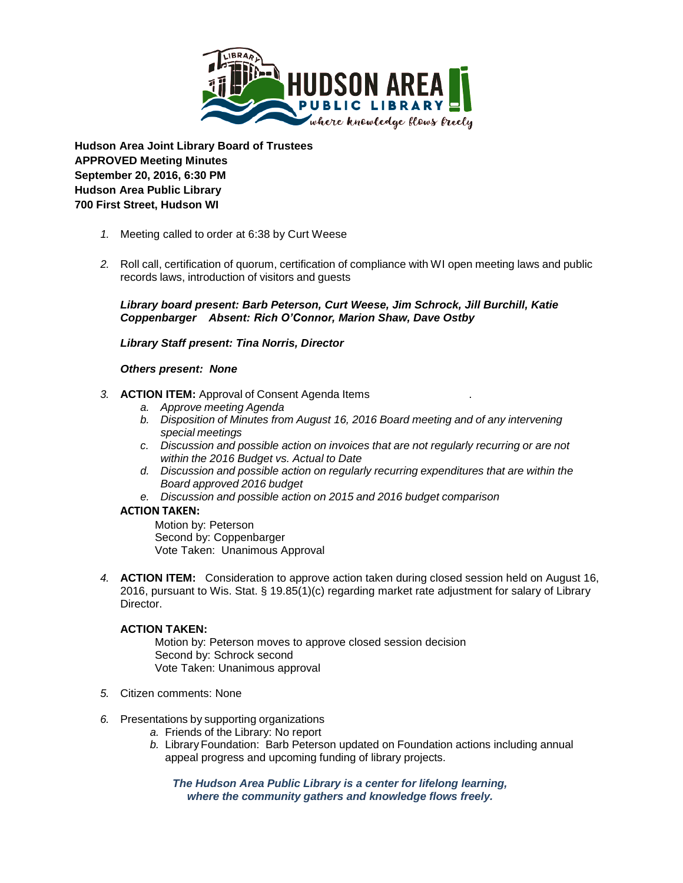

**Hudson Area Joint Library Board of Trustees APPROVED Meeting Minutes September 20, 2016, 6:30 PM Hudson Area Public Library 700 First Street, Hudson WI**

- *1.* Meeting called to order at 6:38 by Curt Weese
- *2.* Roll call, certification of quorum, certification of compliance with WI open meeting laws and public records laws, introduction of visitors and guests

*Library board present: Barb Peterson, Curt Weese, Jim Schrock, Jill Burchill, Katie Coppenbarger Absent: Rich O'Connor, Marion Shaw, Dave Ostby*

*Library Staff present: Tina Norris, Director*

#### *Others present: None*

- *3.* **ACTION ITEM:** Approval of Consent Agenda Items .
	- *a. Approve meeting Agenda*
	- *b. Disposition of Minutes from August 16, 2016 Board meeting and of any intervening special meetings*
	- *c. Discussion and possible action on invoices that are not regularly recurring or are not within the 2016 Budget vs. Actual to Date*
	- *d. Discussion and possible action on regularly recurring expenditures that are within the Board approved 2016 budget*
	- *e. Discussion and possible action on 2015 and 2016 budget comparison*

### **ACTION TAKEN:**

Motion by: Peterson Second by: Coppenbarger Vote Taken: Unanimous Approval

*4.* **ACTION ITEM:** Consideration to approve action taken during closed session held on August 16, 2016, pursuant to Wis. Stat. § 19.85(1)(c) regarding market rate adjustment for salary of Library Director.

# **ACTION TAKEN:**

Motion by: Peterson moves to approve closed session decision Second by: Schrock second Vote Taken: Unanimous approval

- *5.* Citizen comments: None
- *6.* Presentations by supporting organizations
	- *a.* Friends of the Library: No report
	- *b.* Library Foundation: Barb Peterson updated on Foundation actions including annual appeal progress and upcoming funding of library projects.

*The Hudson Area Public Library is a center for lifelong learning, where the community gathers and knowledge flows freely.*